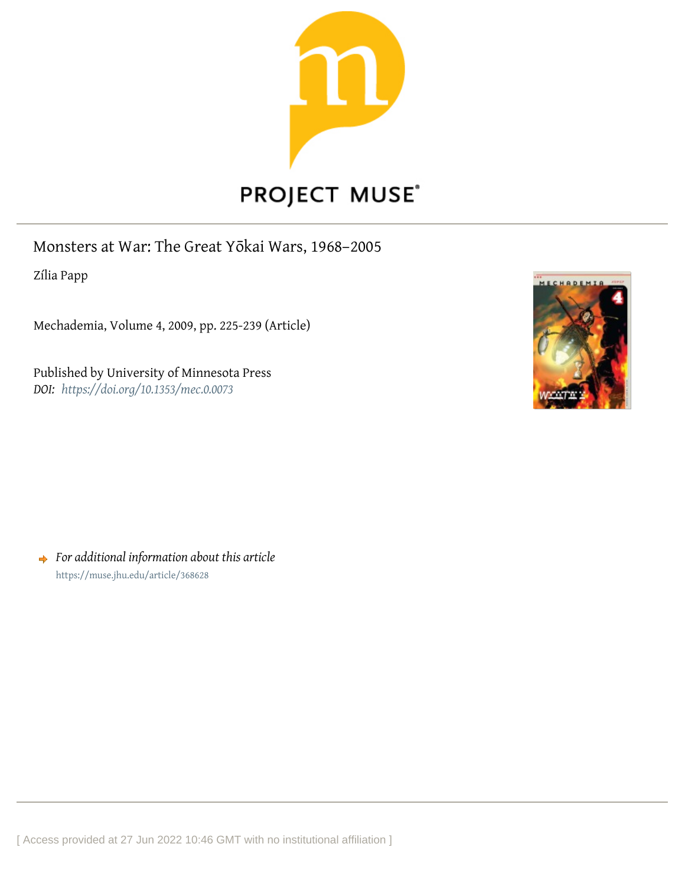

Monsters at War: The Great Yōkai Wars, 1968–2005

Zília Papp

Mechademia, Volume 4, 2009, pp. 225-239 (Article)

Published by University of Minnesota Press *DOI: <https://doi.org/10.1353/mec.0.0073>*



*For additional information about this article* <https://muse.jhu.edu/article/368628>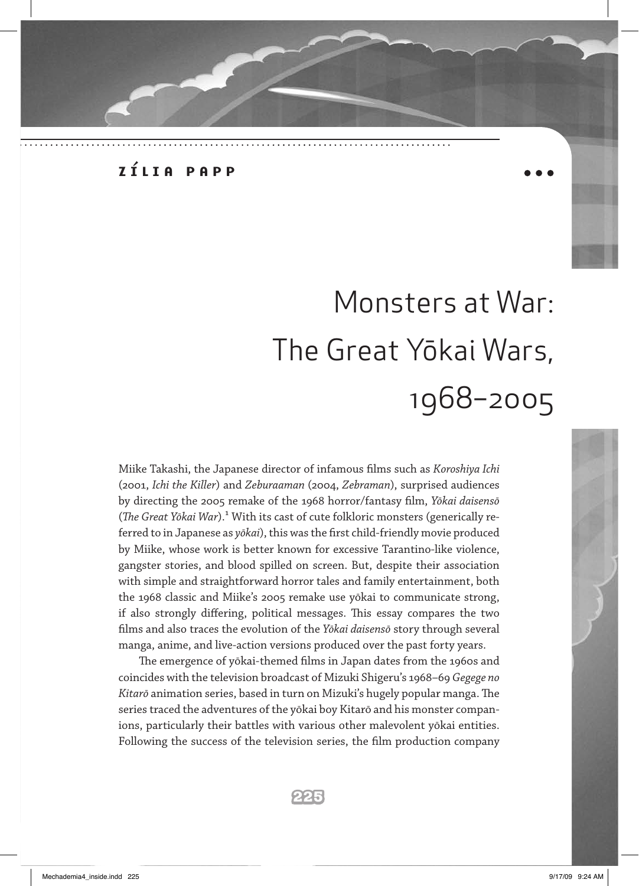# Monsters at War: The Great Yōkai Wars, 1968–2005

Miike Takashi, the Japanese director of infamous films such as *Koroshiya Ichi* (2001, *Ichi the Killer*) and *Zeburaaman* (2004, *Zebraman*), surprised audiences by directing the 2005 remake of the 1968 horror/fantasy film, *Yōkai daisensō* (*The Great Yōkai War*).<sup>1</sup> With its cast of cute folkloric monsters (generically referred to in Japanese as *yōkai*), this was the first child-friendly movie produced by Miike, whose work is better known for excessive Tarantino-like violence, gangster stories, and blood spilled on screen. But, despite their association with simple and straightforward horror tales and family entertainment, both the 1968 classic and Miike's 2005 remake use yōkai to communicate strong, if also strongly differing, political messages. This essay compares the two films and also traces the evolution of the *Yōkai daisensō* story through several manga, anime, and live-action versions produced over the past forty years.

The emergence of yōkai-themed films in Japan dates from the 1960s and coincides with the television broadcast of Mizuki Shigeru's 1968–69 *Gegege no Kitarō* animation series, based in turn on Mizuki's hugely popular manga. The series traced the adventures of the yōkai boy Kitarō and his monster companions, particularly their battles with various other malevolent yōkai entities. Following the success of the television series, the film production company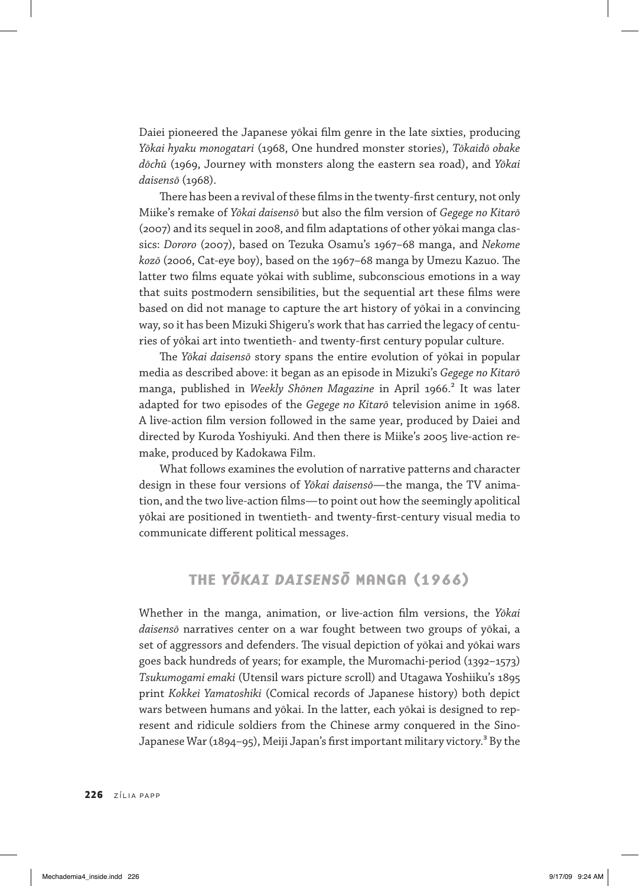Daiei pioneered the Japanese yōkai film genre in the late sixties, producing *Yōkai hyaku monogatari* (1968, One hundred monster stories), *Tōkaidō obake dōchū* (1969, Journey with monsters along the eastern sea road), and *Yōkai daisensō* (1968).

There has been a revival of these films in the twenty-first century, not only Miike's remake of *Yōkai daisensō* but also the film version of *Gegege no Kitarō* (2007) and its sequel in 2008, and film adaptations of other yōkai manga classics: *Dororo* (2007), based on Tezuka Osamu's 1967–68 manga, and *Nekome kozō* (2006, Cat-eye boy), based on the 1967–68 manga by Umezu Kazuo. The latter two films equate yōkai with sublime, subconscious emotions in a way that suits postmodern sensibilities, but the sequential art these films were based on did not manage to capture the art history of yōkai in a convincing way, so it has been Mizuki Shigeru's work that has carried the legacy of centuries of yōkai art into twentieth- and twenty-first century popular culture.

The *Yōkai daisensō* story spans the entire evolution of yōkai in popular media as described above: it began as an episode in Mizuki's *Gegege no Kitarō* manga, published in *Weekly Shōnen Magazine* in April 1966.<sup>2</sup> It was later adapted for two episodes of the *Gegege no Kitarō* television anime in 1968. A live-action film version followed in the same year, produced by Daiei and directed by Kuroda Yoshiyuki. And then there is Miike's 2005 live-action remake, produced by Kadokawa Film.

What follows examines the evolution of narrative patterns and character design in these four versions of *Yōkai daisensō*—the manga, the TV animation, and the two live-action films—to point out how the seemingly apolitical yōkai are positioned in twentieth- and twenty-first-century visual media to communicate different political messages.

## The Y*o*kai daisens*o* Manga (1966)

Whether in the manga, animation, or live-action film versions, the *Yōkai daisensō* narratives center on a war fought between two groups of yōkai, a set of aggressors and defenders. The visual depiction of yōkai and yōkai wars goes back hundreds of years; for example, the Muromachi-period (1392–1573) *Tsukumogami emaki* (Utensil wars picture scroll) and Utagawa Yoshiiku's 1895 print *Kokkei Yamatoshiki* (Comical records of Japanese history) both depict wars between humans and yōkai. In the latter, each yōkai is designed to represent and ridicule soldiers from the Chinese army conquered in the Sino-Japanese War (1894–95), Meiji Japan's first important military victory.<sup>3</sup> By the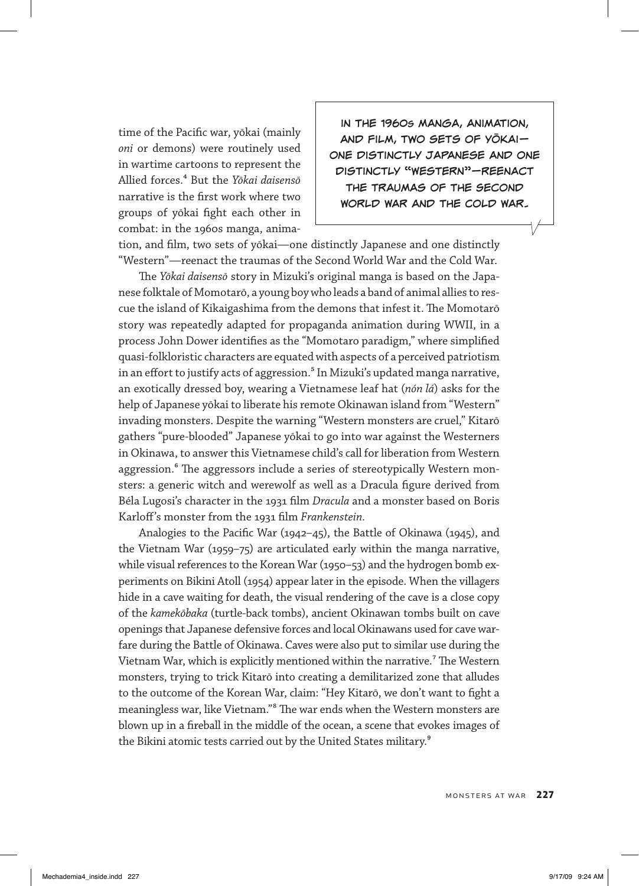time of the Pacific war, yōkai (mainly *oni* or demons) were routinely used in wartime cartoons to represent the Allied forces.4 But the *Yōkai daisensō* narrative is the first work where two groups of yōkai fight each other in combat: in the 1960s manga, anima-

in the 1960s manga, animation, and film, two sets of yōkaione distinctly Japanese and one distinctly "Western"-reenact the traumas of the Second World War and the Cold War.

tion, and film, two sets of yōkai—one distinctly Japanese and one distinctly "Western"—reenact the traumas of the Second World War and the Cold War.

The *Yōkai daisensō* story in Mizuki's original manga is based on the Japanese folktale of Momotarō, a young boy who leads a band of animal allies to rescue the island of Kikaigashima from the demons that infest it. The Momotarō story was repeatedly adapted for propaganda animation during WWII, in a process John Dower identifies as the "Momotaro paradigm," where simplified quasi-folkloristic characters are equated with aspects of a perceived patriotism in an effort to justify acts of aggression.<sup>5</sup> In Mizuki's updated manga narrative, an exotically dressed boy, wearing a Vietnamese leaf hat (*nón lá*) asks for the help of Japanese yōkai to liberate his remote Okinawan island from "Western" invading monsters. Despite the warning "Western monsters are cruel," Kitarō gathers "pure-blooded" Japanese yōkai to go into war against the Westerners in Okinawa, to answer this Vietnamese child's call for liberation from Western aggression.<sup>6</sup> The aggressors include a series of stereotypically Western monsters: a generic witch and werewolf as well as a Dracula figure derived from Béla Lugosi's character in the 1931 film *Dracula* and a monster based on Boris Karloff's monster from the 1931 film *Frankenstein.*

Analogies to the Pacific War (1942–45), the Battle of Okinawa (1945), and the Vietnam War (1959–75) are articulated early within the manga narrative, while visual references to the Korean War (1950–53) and the hydrogen bomb experiments on Bikini Atoll (1954) appear later in the episode. When the villagers hide in a cave waiting for death, the visual rendering of the cave is a close copy of the *kamekōbaka* (turtle-back tombs), ancient Okinawan tombs built on cave openings that Japanese defensive forces and local Okinawans used for cave warfare during the Battle of Okinawa. Caves were also put to similar use during the Vietnam War, which is explicitly mentioned within the narrative.<sup>7</sup> The Western monsters, trying to trick Kitarō into creating a demilitarized zone that alludes to the outcome of the Korean War, claim: "Hey Kitarō, we don't want to fight a meaningless war, like Vietnam."8 The war ends when the Western monsters are blown up in a fireball in the middle of the ocean, a scene that evokes images of the Bikini atomic tests carried out by the United States military.<sup>9</sup>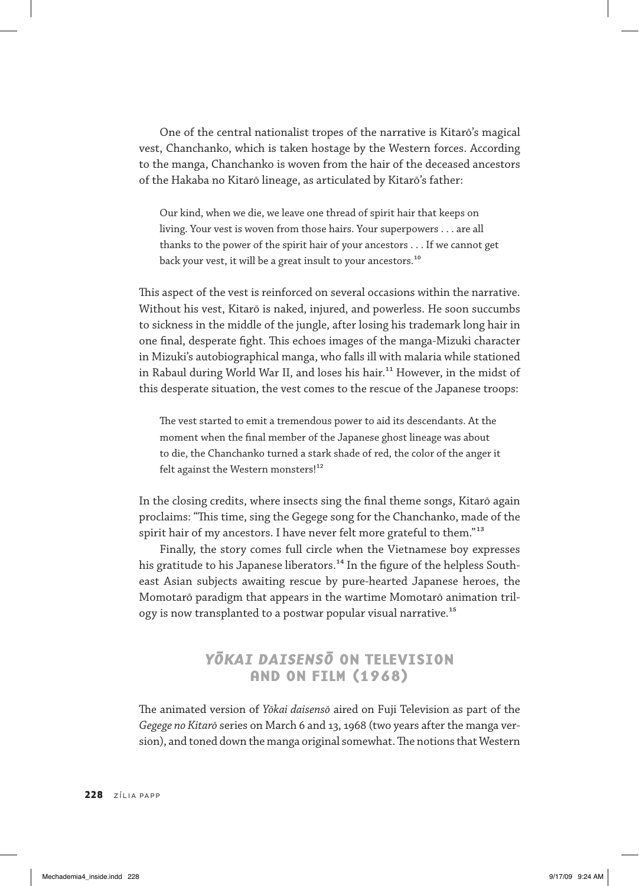One of the central nationalist tropes of the narrative is Kitarō's magical vest, Chanchanko, which is taken hostage by the Western forces. According to the manga, Chanchanko is woven from the hair of the deceased ancestors of the Hakaba no Kitarō lineage, as articulated by Kitarō's father:

Our kind, when we die, we leave one thread of spirit hair that keeps on living. Your vest is woven from those hairs. Your superpowers . . . are all thanks to the power of the spirit hair of your ancestors . . . If we cannot get back your vest, it will be a great insult to your ancestors.<sup>10</sup>

This aspect of the vest is reinforced on several occasions within the narrative. Without his vest, Kitarō is naked, injured, and powerless. He soon succumbs to sickness in the middle of the jungle, after losing his trademark long hair in one final, desperate fight. This echoes images of the manga-Mizuki character in Mizuki's autobiographical manga, who falls ill with malaria while stationed in Rabaul during World War II, and loses his hair.<sup>11</sup> However, in the midst of this desperate situation, the vest comes to the rescue of the Japanese troops:

The vest started to emit a tremendous power to aid its descendants. At the moment when the final member of the Japanese ghost lineage was about to die, the Chanchanko turned a stark shade of red, the color of the anger it felt against the Western monsters!<sup>12</sup>

In the closing credits, where insects sing the final theme songs, Kitarō again proclaims: "This time, sing the Gegege song for the Chanchanko, made of the spirit hair of my ancestors. I have never felt more grateful to them."<sup>13</sup>

Finally, the story comes full circle when the Vietnamese boy expresses his gratitude to his Japanese liberators.<sup>14</sup> In the figure of the helpless Southeast Asian subjects awaiting rescue by pure-hearted Japanese heroes, the Momotarō paradigm that appears in the wartime Momotarō animation trilogy is now transplanted to a postwar popular visual narrative.<sup>15</sup>

### Y*o*kai daisens*o* on Television and on Film (1968)

The animated version of *Yōkai daisensō* aired on Fuji Television as part of the *Gegege no Kitarō* series on March 6 and 13, 1968 (two years after the manga version), and toned down the manga original somewhat. The notions that Western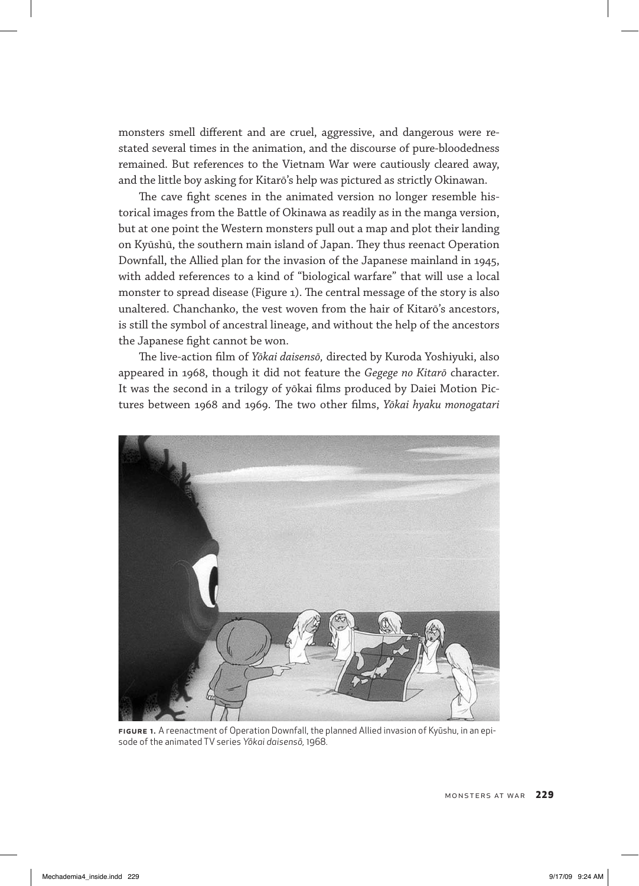monsters smell different and are cruel, aggressive, and dangerous were restated several times in the animation, and the discourse of pure-bloodedness remained. But references to the Vietnam War were cautiously cleared away, and the little boy asking for Kitarō's help was pictured as strictly Okinawan.

The cave fight scenes in the animated version no longer resemble historical images from the Battle of Okinawa as readily as in the manga version, but at one point the Western monsters pull out a map and plot their landing on Kyūshū, the southern main island of Japan. They thus reenact Operation Downfall, the Allied plan for the invasion of the Japanese mainland in 1945, with added references to a kind of "biological warfare" that will use a local monster to spread disease (Figure 1). The central message of the story is also unaltered. Chanchanko, the vest woven from the hair of Kitarō's ancestors, is still the symbol of ancestral lineage, and without the help of the ancestors the Japanese fight cannot be won.

The live-action film of *Yōkai daisensō,* directed by Kuroda Yoshiyuki, also appeared in 1968, though it did not feature the *Gegege no Kitarō* character. It was the second in a trilogy of yōkai films produced by Daiei Motion Pictures between 1968 and 1969. The two other films, *Yōkai hyaku monogatari*



Figure 1. A reenactment of Operation Downfall, the planned Allied invasion of Kyūshu, in an episode of the animated TV series *Yōkai daisensō,* 1968.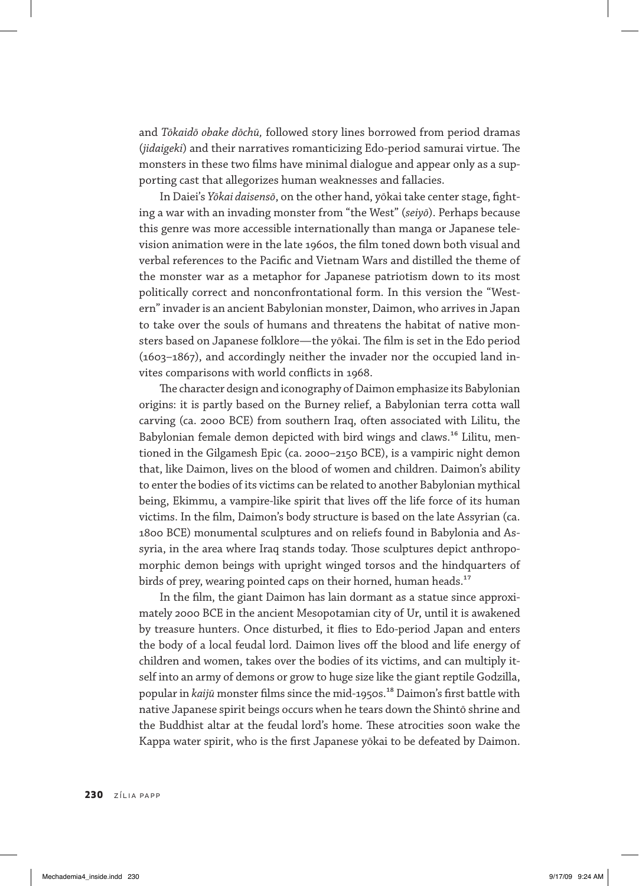and *Tōkaidō obake dōchū,* followed story lines borrowed from period dramas (*jidaigeki*) and their narratives romanticizing Edo-period samurai virtue. The monsters in these two films have minimal dialogue and appear only as a supporting cast that allegorizes human weaknesses and fallacies.

In Daiei's *Yōkai daisensō*, on the other hand, yōkai take center stage, fighting a war with an invading monster from "the West" (*seiyō*). Perhaps because this genre was more accessible internationally than manga or Japanese television animation were in the late 1960s, the film toned down both visual and verbal references to the Pacific and Vietnam Wars and distilled the theme of the monster war as a metaphor for Japanese patriotism down to its most politically correct and nonconfrontational form. In this version the "Western" invader is an ancient Babylonian monster, Daimon, who arrives in Japan to take over the souls of humans and threatens the habitat of native monsters based on Japanese folklore—the yōkai. The film is set in the Edo period (1603–1867), and accordingly neither the invader nor the occupied land invites comparisons with world conflicts in 1968.

The character design and iconography of Daimon emphasize its Babylonian origins: it is partly based on the Burney relief, a Babylonian terra cotta wall carving (ca. 2000 BCE) from southern Iraq, often associated with Lilitu, the Babylonian female demon depicted with bird wings and claws.<sup>16</sup> Lilitu, mentioned in the Gilgamesh Epic (ca. 2000–2150 BCE), is a vampiric night demon that, like Daimon, lives on the blood of women and children. Daimon's ability to enter the bodies of its victims can be related to another Babylonian mythical being, Ekimmu, a vampire-like spirit that lives off the life force of its human victims. In the film, Daimon's body structure is based on the late Assyrian (ca. 1800 BCE) monumental sculptures and on reliefs found in Babylonia and Assyria, in the area where Iraq stands today. Those sculptures depict anthropomorphic demon beings with upright winged torsos and the hindquarters of birds of prey, wearing pointed caps on their horned, human heads.<sup>17</sup>

In the film, the giant Daimon has lain dormant as a statue since approximately 2000 BCE in the ancient Mesopotamian city of Ur, until it is awakened by treasure hunters. Once disturbed, it flies to Edo-period Japan and enters the body of a local feudal lord. Daimon lives off the blood and life energy of children and women, takes over the bodies of its victims, and can multiply itself into an army of demons or grow to huge size like the giant reptile Godzilla, popular in *kaijū* monster films since the mid-1950s.<sup>18</sup> Daimon's first battle with native Japanese spirit beings occurs when he tears down the Shintō shrine and the Buddhist altar at the feudal lord's home. These atrocities soon wake the Kappa water spirit, who is the first Japanese yōkai to be defeated by Daimon.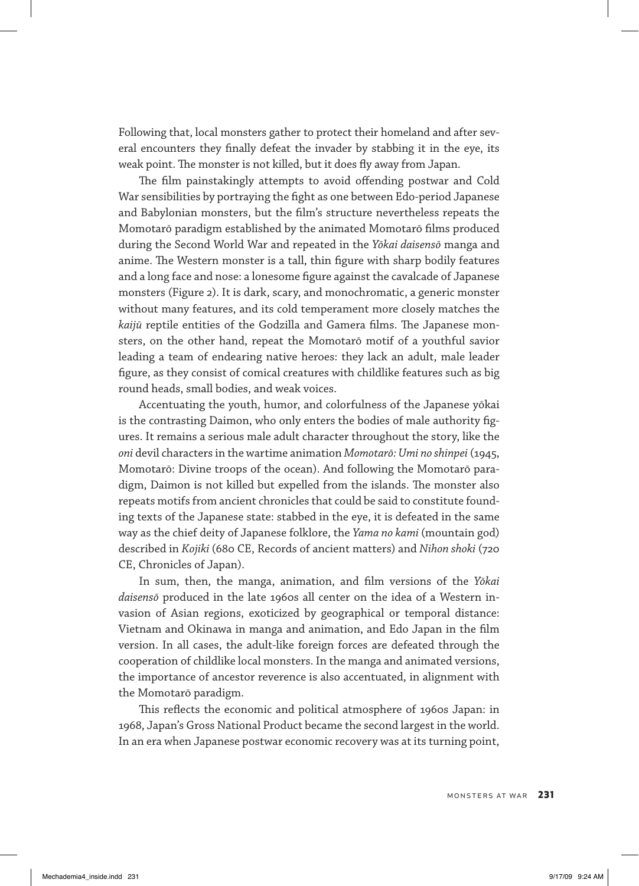Following that, local monsters gather to protect their homeland and after several encounters they finally defeat the invader by stabbing it in the eye, its weak point. The monster is not killed, but it does fly away from Japan.

The film painstakingly attempts to avoid offending postwar and Cold War sensibilities by portraying the fight as one between Edo-period Japanese and Babylonian monsters, but the film's structure nevertheless repeats the Momotarō paradigm established by the animated Momotarō films produced during the Second World War and repeated in the *Yōkai daisensō* manga and anime. The Western monster is a tall, thin figure with sharp bodily features and a long face and nose: a lonesome figure against the cavalcade of Japanese monsters (Figure 2). It is dark, scary, and monochromatic, a generic monster without many features, and its cold temperament more closely matches the *kaijū* reptile entities of the Godzilla and Gamera films. The Japanese monsters, on the other hand, repeat the Momotarō motif of a youthful savior leading a team of endearing native heroes: they lack an adult, male leader figure, as they consist of comical creatures with childlike features such as big round heads, small bodies, and weak voices.

Accentuating the youth, humor, and colorfulness of the Japanese yōkai is the contrasting Daimon, who only enters the bodies of male authority figures. It remains a serious male adult character throughout the story, like the *oni* devil characters in the wartime animation *Momotarō: Umi no shinpei* (1945, Momotarō: Divine troops of the ocean). And following the Momotarō paradigm, Daimon is not killed but expelled from the islands. The monster also repeats motifs from ancient chronicles that could be said to constitute founding texts of the Japanese state: stabbed in the eye, it is defeated in the same way as the chief deity of Japanese folklore, the *Yama no kami* (mountain god) described in *Kojiki* (680 CE, Records of ancient matters) and *Nihon shoki* (720 CE, Chronicles of Japan).

In sum, then, the manga, animation, and film versions of the *Yōkai daisensō* produced in the late 1960s all center on the idea of a Western invasion of Asian regions, exoticized by geographical or temporal distance: Vietnam and Okinawa in manga and animation, and Edo Japan in the film version. In all cases, the adult-like foreign forces are defeated through the cooperation of childlike local monsters. In the manga and animated versions, the importance of ancestor reverence is also accentuated, in alignment with the Momotarō paradigm.

This reflects the economic and political atmosphere of 1960s Japan: in 1968, Japan's Gross National Product became the second largest in the world. In an era when Japanese postwar economic recovery was at its turning point,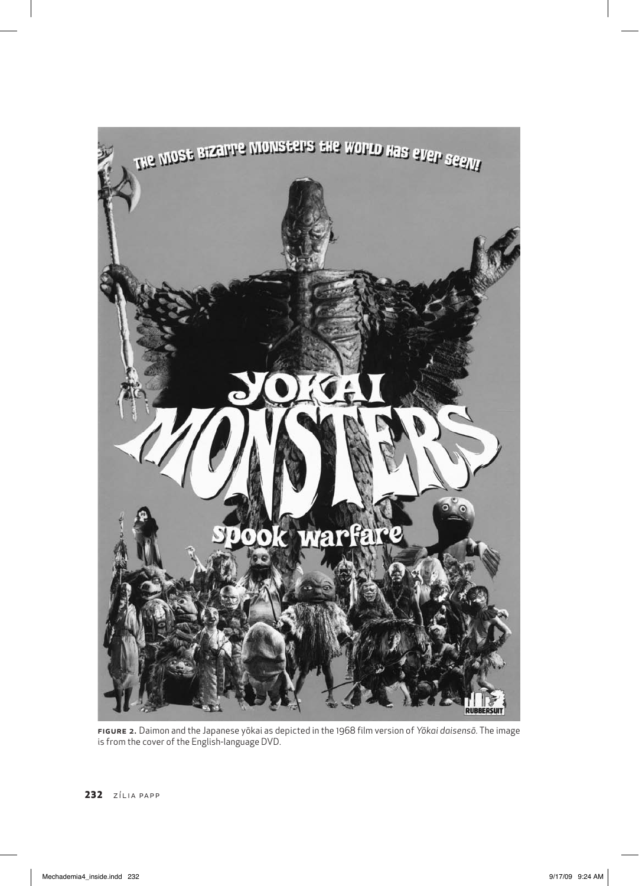

Figure 2. Daimon and the Japanese yōkai as depicted in the 1968 film version of *Yōkai daisensō.* The image is from the cover of the English-language DVD.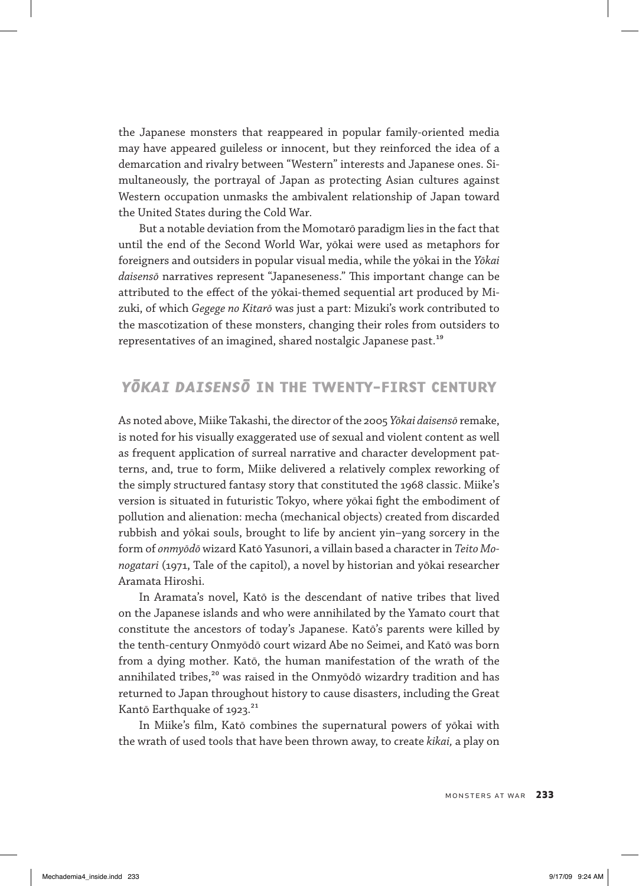the Japanese monsters that reappeared in popular family-oriented media may have appeared guileless or innocent, but they reinforced the idea of a demarcation and rivalry between "Western" interests and Japanese ones. Simultaneously, the portrayal of Japan as protecting Asian cultures against Western occupation unmasks the ambivalent relationship of Japan toward the United States during the Cold War.

But a notable deviation from the Momotarō paradigm lies in the fact that until the end of the Second World War, yōkai were used as metaphors for foreigners and outsiders in popular visual media, while the yōkai in the *Yōkai daisensō* narratives represent "Japaneseness." This important change can be attributed to the effect of the yōkai-themed sequential art produced by Mizuki, of which *Gegege no Kitarō* was just a part: Mizuki's work contributed to the mascotization of these monsters, changing their roles from outsiders to representatives of an imagined, shared nostalgic Japanese past.<sup>19</sup>

### Y*o*kai daisens*o* in the Twenty-first Century

As noted above, Miike Takashi, the director of the 2005 *Yōkai daisensō* remake, is noted for his visually exaggerated use of sexual and violent content as well as frequent application of surreal narrative and character development patterns, and, true to form, Miike delivered a relatively complex reworking of the simply structured fantasy story that constituted the 1968 classic. Miike's version is situated in futuristic Tokyo, where yōkai fight the embodiment of pollution and alienation: mecha (mechanical objects) created from discarded rubbish and yōkai souls, brought to life by ancient yin–yang sorcery in the form of *onmyōdō* wizard Katō Yasunori, a villain based a character in *Teito Monogatari* (1971, Tale of the capitol), a novel by historian and yōkai researcher Aramata Hiroshi.

In Aramata's novel, Katō is the descendant of native tribes that lived on the Japanese islands and who were annihilated by the Yamato court that constitute the ancestors of today's Japanese. Katō's parents were killed by the tenth-century Onmyōdō court wizard Abe no Seimei, and Katō was born from a dying mother. Katō, the human manifestation of the wrath of the annihilated tribes,<sup>20</sup> was raised in the Onmyōdō wizardry tradition and has returned to Japan throughout history to cause disasters, including the Great Kantō Earthquake of 1923.<sup>21</sup>

In Miike's film, Katō combines the supernatural powers of yōkai with the wrath of used tools that have been thrown away, to create *kikai,* a play on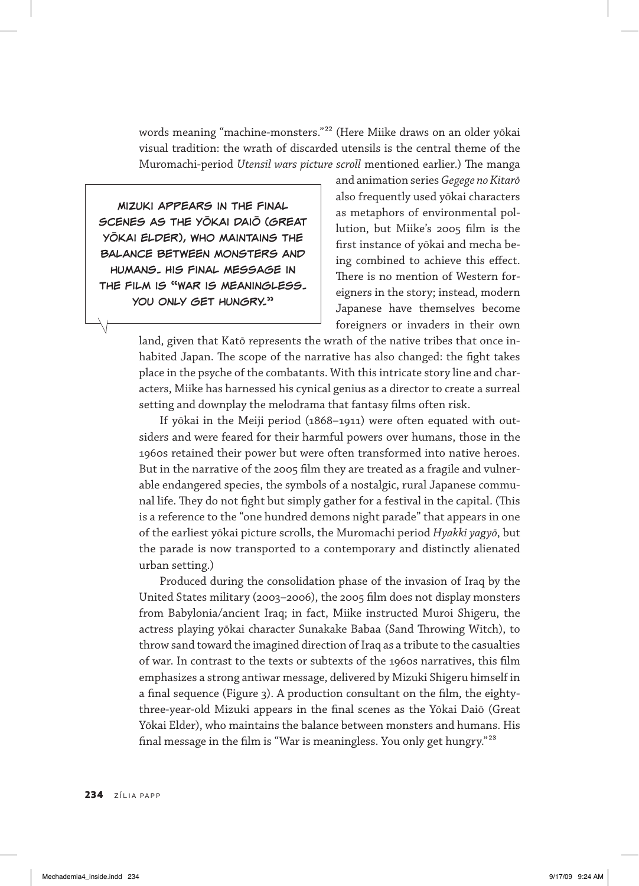words meaning "machine-monsters."22 (Here Miike draws on an older yōkai visual tradition: the wrath of discarded utensils is the central theme of the Muromachi-period *Utensil wars picture scroll* mentioned earlier.) The manga

Mizuki appears in the final scenes as the Yōkai Daiō (Great Yōkai Elder), who maintains the balance between monsters and humans. His final message in the film is "War is meaningless. You only get hungry."

and animation series *Gegege no Kitarō* also frequently used yōkai characters as metaphors of environmental pollution, but Miike's 2005 film is the first instance of yōkai and mecha being combined to achieve this effect. There is no mention of Western foreigners in the story; instead, modern Japanese have themselves become foreigners or invaders in their own

land, given that Katō represents the wrath of the native tribes that once inhabited Japan. The scope of the narrative has also changed: the fight takes place in the psyche of the combatants. With this intricate story line and characters, Miike has harnessed his cynical genius as a director to create a surreal setting and downplay the melodrama that fantasy films often risk.

If yōkai in the Meiji period (1868–1911) were often equated with outsiders and were feared for their harmful powers over humans, those in the 1960s retained their power but were often transformed into native heroes. But in the narrative of the 2005 film they are treated as a fragile and vulnerable endangered species, the symbols of a nostalgic, rural Japanese communal life. They do not fight but simply gather for a festival in the capital. (This is a reference to the "one hundred demons night parade" that appears in one of the earliest yōkai picture scrolls, the Muromachi period *Hyakki yagyō*, but the parade is now transported to a contemporary and distinctly alienated urban setting.)

Produced during the consolidation phase of the invasion of Iraq by the United States military (2003–2006), the 2005 film does not display monsters from Babylonia/ancient Iraq; in fact, Miike instructed Muroi Shigeru, the actress playing yōkai character Sunakake Babaa (Sand Throwing Witch), to throw sand toward the imagined direction of Iraq as a tribute to the casualties of war. In contrast to the texts or subtexts of the 1960s narratives, this film emphasizes a strong antiwar message, delivered by Mizuki Shigeru himself in a final sequence (Figure 3). A production consultant on the film, the eightythree-year-old Mizuki appears in the final scenes as the Yōkai Daiō (Great Yōkai Elder), who maintains the balance between monsters and humans. His final message in the film is "War is meaningless. You only get hungry."23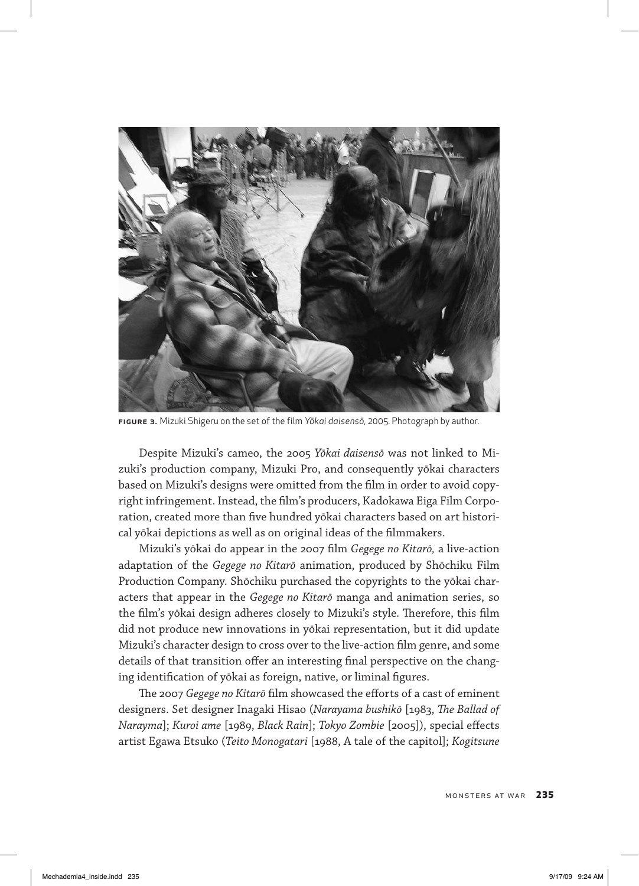

Figure 3. Mizuki Shigeru on the set of the film *Yōkai daisensō,* 2005. Photograph by author.

Despite Mizuki's cameo, the 2005 *Yōkai daisensō* was not linked to Mizuki's production company, Mizuki Pro, and consequently yōkai characters based on Mizuki's designs were omitted from the film in order to avoid copyright infringement. Instead, the film's producers, Kadokawa Eiga Film Corporation, created more than five hundred yōkai characters based on art historical yōkai depictions as well as on original ideas of the filmmakers.

Mizuki's yōkai do appear in the 2007 film *Gegege no Kitarō,* a live-action adaptation of the *Gegege no Kitarō* animation, produced by Shōchiku Film Production Company. Shōchiku purchased the copyrights to the yōkai characters that appear in the *Gegege no Kitarō* manga and animation series, so the film's yōkai design adheres closely to Mizuki's style. Therefore, this film did not produce new innovations in yōkai representation, but it did update Mizuki's character design to cross over to the live-action film genre, and some details of that transition offer an interesting final perspective on the changing identification of yōkai as foreign, native, or liminal figures.

The 2007 *Gegege no Kitarō* film showcased the efforts of a cast of eminent designers. Set designer Inagaki Hisao (*Narayama bushikō* [1983, *The Ballad of Narayma*]; *Kuroi ame* [1989, *Black Rain*]; *Tokyo Zombie* [2005]), special effects artist Egawa Etsuko (*Teito Monogatari* [1988, A tale of the capitol]; *Kogitsune*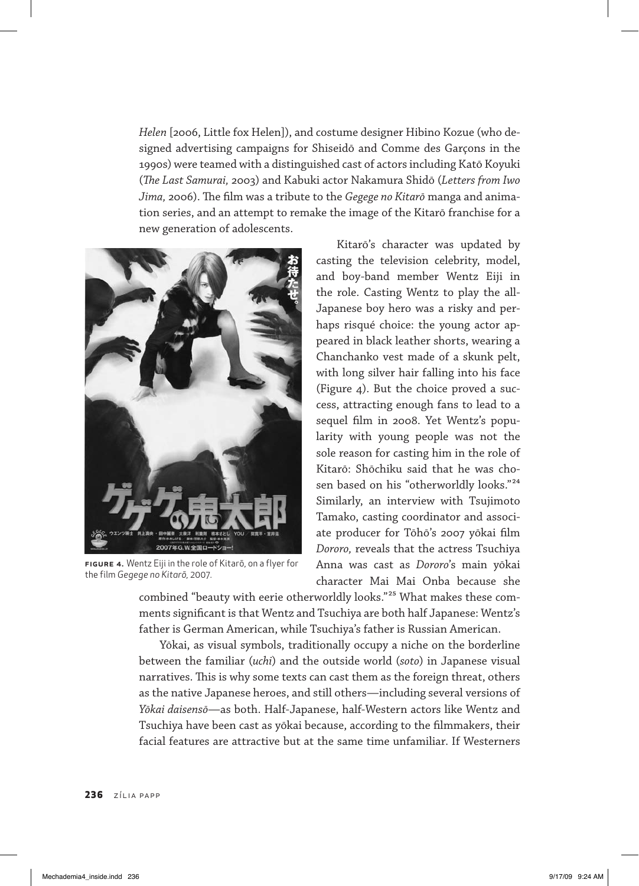*Helen* [2006, Little fox Helen]), and costume designer Hibino Kozue (who designed advertising campaigns for Shiseidō and Comme des Garçons in the 1990s) were teamed with a distinguished cast of actors including Katō Koyuki (*The Last Samurai,* 2003) and Kabuki actor Nakamura Shidō (*Letters from Iwo Jima,* 2006). The film was a tribute to the *Gegege no Kitarō* manga and animation series, and an attempt to remake the image of the Kitarō franchise for a new generation of adolescents.



Figure 4. Wentz Eiji in the role of Kitarō, on a flyer for the film *Gegege no Kitarō,* 2007.

Kitarō's character was updated by casting the television celebrity, model, and boy-band member Wentz Eiji in the role. Casting Wentz to play the all-Japanese boy hero was a risky and perhaps risqué choice: the young actor appeared in black leather shorts, wearing a Chanchanko vest made of a skunk pelt, with long silver hair falling into his face (Figure 4). But the choice proved a success, attracting enough fans to lead to a sequel film in 2008. Yet Wentz's popularity with young people was not the sole reason for casting him in the role of Kitarō: Shōchiku said that he was chosen based on his "otherworldly looks."24 Similarly, an interview with Tsujimoto Tamako, casting coordinator and associate producer for Tōhō's 2007 yōkai film *Dororo,* reveals that the actress Tsuchiya Anna was cast as *Dororo*'s main yōkai character Mai Mai Onba because she

combined "beauty with eerie otherworldly looks."<sup>25</sup> What makes these comments significant is that Wentz and Tsuchiya are both half Japanese: Wentz's father is German American, while Tsuchiya's father is Russian American.

Yōkai, as visual symbols, traditionally occupy a niche on the borderline between the familiar (*uchi*) and the outside world (*soto*) in Japanese visual narratives. This is why some texts can cast them as the foreign threat, others as the native Japanese heroes, and still others—including several versions of *Yōkai daisensō*—as both. Half-Japanese, half-Western actors like Wentz and Tsuchiya have been cast as yōkai because, according to the filmmakers, their facial features are attractive but at the same time unfamiliar. If Westerners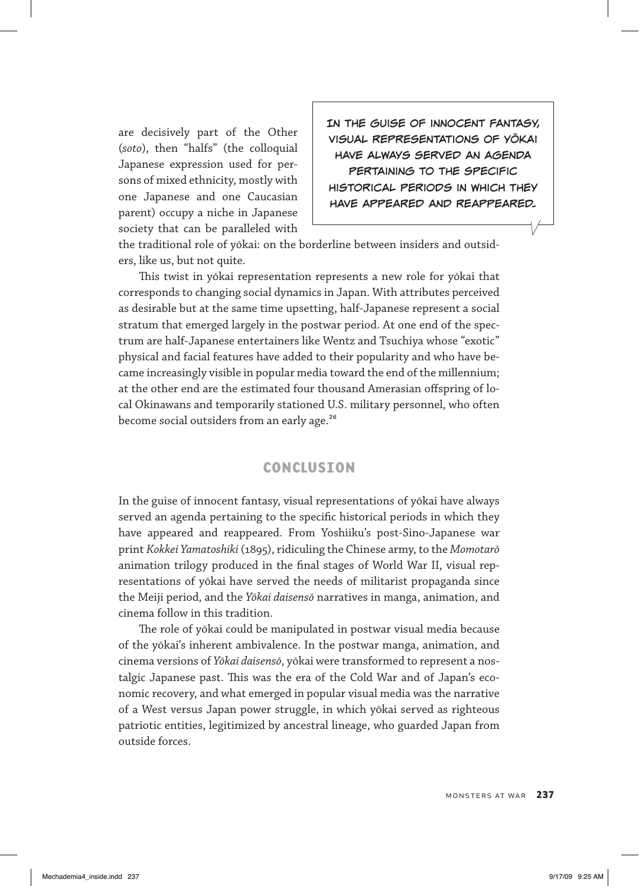are decisively part of the Other (*soto*), then "halfs" (the colloquial Japanese expression used for persons of mixed ethnicity, mostly with one Japanese and one Caucasian parent) occupy a niche in Japanese society that can be paralleled with In the guise of innocent fantasy, visual representations of yōkai have always served an agenda pertaining to the specific historical periods in which they have appeared and reappeared.

the traditional role of yōkai: on the borderline between insiders and outsiders, like us, but not quite.

This twist in yōkai representation represents a new role for yōkai that corresponds to changing social dynamics in Japan. With attributes perceived as desirable but at the same time upsetting, half-Japanese represent a social stratum that emerged largely in the postwar period. At one end of the spectrum are half-Japanese entertainers like Wentz and Tsuchiya whose "exotic" physical and facial features have added to their popularity and who have became increasingly visible in popular media toward the end of the millennium; at the other end are the estimated four thousand Amerasian offspring of local Okinawans and temporarily stationed U.S. military personnel, who often become social outsiders from an early age.<sup>26</sup>

#### **CONCLUSION**

In the guise of innocent fantasy, visual representations of yōkai have always served an agenda pertaining to the specific historical periods in which they have appeared and reappeared. From Yoshiiku's post-Sino-Japanese war print *Kokkei Yamatoshiki* (1895), ridiculing the Chinese army, to the *Momotarō* animation trilogy produced in the final stages of World War II, visual representations of yōkai have served the needs of militarist propaganda since the Meiji period, and the *Yōkai daisensō* narratives in manga, animation, and cinema follow in this tradition.

The role of yōkai could be manipulated in postwar visual media because of the yōkai's inherent ambivalence. In the postwar manga, animation, and cinema versions of *Yōkai daisensō*, yōkai were transformed to represent a nostalgic Japanese past. This was the era of the Cold War and of Japan's economic recovery, and what emerged in popular visual media was the narrative of a West versus Japan power struggle, in which yōkai served as righteous patriotic entities, legitimized by ancestral lineage, who guarded Japan from outside forces.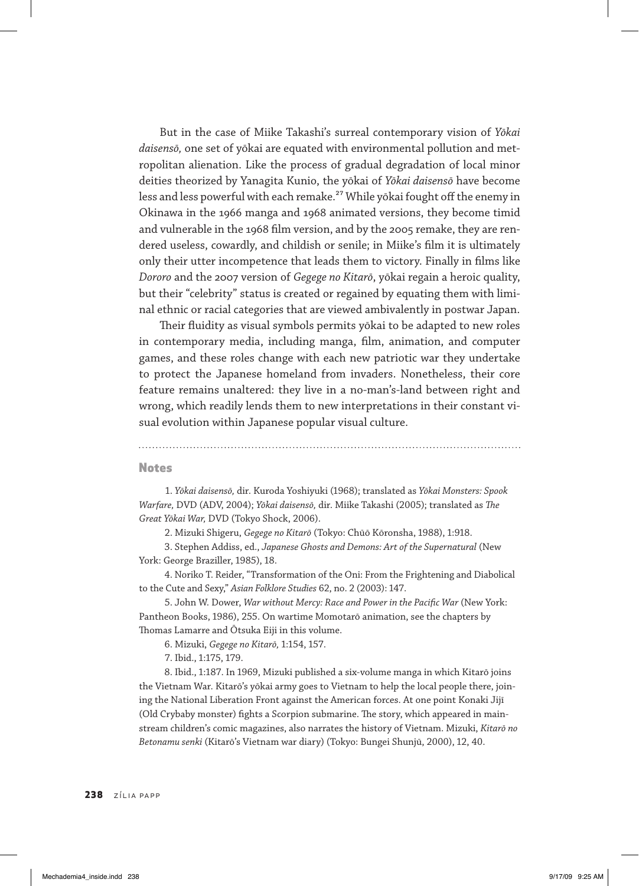But in the case of Miike Takashi's surreal contemporary vision of *Yōkai daisensō,* one set of yōkai are equated with environmental pollution and metropolitan alienation. Like the process of gradual degradation of local minor deities theorized by Yanagita Kunio, the yōkai of *Yōkai daisensō* have become less and less powerful with each remake.<sup>27</sup> While yōkai fought off the enemy in Okinawa in the 1966 manga and 1968 animated versions, they become timid and vulnerable in the 1968 film version, and by the 2005 remake, they are rendered useless, cowardly, and childish or senile; in Miike's film it is ultimately only their utter incompetence that leads them to victory. Finally in films like *Dororo* and the 2007 version of *Gegege no Kitarō*, yōkai regain a heroic quality, but their "celebrity" status is created or regained by equating them with liminal ethnic or racial categories that are viewed ambivalently in postwar Japan.

Their fluidity as visual symbols permits yōkai to be adapted to new roles in contemporary media, including manga, film, animation, and computer games, and these roles change with each new patriotic war they undertake to protect the Japanese homeland from invaders. Nonetheless, their core feature remains unaltered: they live in a no-man's-land between right and wrong, which readily lends them to new interpretations in their constant visual evolution within Japanese popular visual culture.

#### **Notes**

1. *Yōkai daisensō,* dir. Kuroda Yoshiyuki (1968); translated as *Yōkai Monsters: Spook Warfare,* DVD (ADV, 2004); *Yōkai daisensō,* dir. Miike Takashi (2005); translated as *The Great Yōkai War,* DVD (Tokyo Shock, 2006).

2. Mizuki Shigeru, *Gegege no Kitarō* (Tokyo: Chūō Kōronsha, 1988), 1:918.

3. Stephen Addiss, ed., *Japanese Ghosts and Demons: Art of the Supernatural* (New York: George Braziller, 1985), 18.

4. Noriko T. Reider, "Transformation of the Oni: From the Frightening and Diabolical to the Cute and Sexy," *Asian Folklore Studies* 62, no. 2 (2003): 147.

5. John W. Dower, *War without Mercy: Race and Power in the Pacific War* (New York: Pantheon Books, 1986), 255. On wartime Momotarō animation, see the chapters by Thomas Lamarre and Ōtsuka Eiji in this volume.

6. Mizuki, *Gegege no Kitarō,* 1:154, 157.

7. Ibid., 1:175, 179.

8. Ibid., 1:187. In 1969, Mizuki published a six-volume manga in which Kitarō joins the Vietnam War. Kitarō's yōkai army goes to Vietnam to help the local people there, joining the National Liberation Front against the American forces. At one point Konaki Jijī (Old Crybaby monster) fights a Scorpion submarine. The story, which appeared in mainstream children's comic magazines, also narrates the history of Vietnam. Mizuki, *Kitarō no Betonamu senki* (Kitarō's Vietnam war diary) (Tokyo: Bungei Shunjū, 2000), 12, 40.